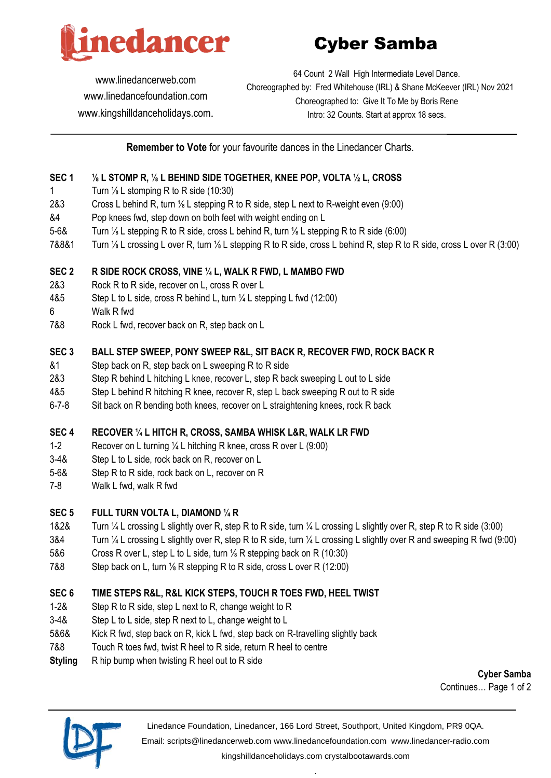

# Cyber Samba

[www.linedancerweb.com](http://www.linedancerweb.com/) [www.linedancefoundation.com](http://www.linedancerweb.com/)  [www.kingshilldanceholidays.com](http://www.kingshilldanceholidays.com/).

64 Count 2 Wall High Intermediate Level Dance. Choreographed by: Fred Whitehouse (IRL) & Shane McKeever (IRL) Nov 2021 Choreographed to: Give It To Me by Boris Rene Intro: 32 Counts. Start at approx 18 secs.

**Remember to Vote** for your favourite dances in the Linedancer Charts.

# **SEC 1 ⅛ L STOMP R, ⅛ L BEHIND SIDE TOGETHER, KNEE POP, VOLTA ½ L, CROSS**

- 1 Turn <sup>1/</sup><sub>8</sub> L stomping R to R side (10:30)
- 2&3 Cross L behind R, turn ⅛ L stepping R to R side, step L next to R-weight even (9:00)
- &4 Pop knees fwd, step down on both feet with weight ending on L
- 5-6& Turn ⅛ L stepping R to R side, cross L behind R, turn ⅛ L stepping R to R side (6:00)
- 7&8&1 Turn ⅛ L crossing L over R, turn ⅛ L stepping R to R side, cross L behind R, step R to R side, cross L over R (3:00)

#### **SEC 2 R SIDE ROCK CROSS, VINE ¼ L, WALK R FWD, L MAMBO FWD**

- 2&3 Rock R to R side, recover on L, cross R over L
- 4&5 Step L to L side, cross R behind L, turn ¼ L stepping L fwd (12:00)
- 6 Walk R fwd
- 7&8 Rock L fwd, recover back on R, step back on L

#### **SEC 3 BALL STEP SWEEP, PONY SWEEP R&L, SIT BACK R, RECOVER FWD, ROCK BACK R**

- &1 Step back on R, step back on L sweeping R to R side
- 2&3 Step R behind L hitching L knee, recover L, step R back sweeping L out to L side
- 4&5 Step L behind R hitching R knee, recover R, step L back sweeping R out to R side
- 6-7-8 Sit back on R bending both knees, recover on L straightening knees, rock R back

#### **SEC 4 RECOVER ¼ L HITCH R, CROSS, SAMBA WHISK L&R, WALK LR FWD**

- 1-2 Recover on L turning ¼ L hitching R knee, cross R over L (9:00)
- 3-4& Step L to L side, rock back on R, recover on L
- 5-6& Step R to R side, rock back on L, recover on R
- 7-8 Walk L fwd, walk R fwd

#### **SEC 5 FULL TURN VOLTA L, DIAMOND ¼ R**

- 1&2& Turn ¼ L crossing L slightly over R, step R to R side, turn ¼ L crossing L slightly over R, step R to R side (3:00)
- 3&4 Turn ¼ L crossing L slightly over R, step R to R side, turn ¼ L crossing L slightly over R and sweeping R fwd (9:00)
- 5&6 Cross R over L, step L to L side, turn ⅛ R stepping back on R (10:30)
- 7&8 Step back on L, turn <sup>1/</sup><sub>8</sub> R stepping R to R side, cross L over R (12:00)

# **SEC 6 TIME STEPS R&L, R&L KICK STEPS, TOUCH R TOES FWD, HEEL TWIST**

- 1-2& Step R to R side, step L next to R, change weight to R
- 3-4& Step L to L side, step R next to L, change weight to L
- 5&6& Kick R fwd, step back on R, kick L fwd, step back on R-travelling slightly back
- 7&8 Touch R toes fwd, twist R heel to R side, return R heel to centre
- **Styling** R hip bump when twisting R heel out to R side

**Cyber Samba** Continues… Page 1 of 2



Linedance Foundation, Linedancer, 166 Lord Street, Southport, United Kingdom, PR9 0QA.

Email: [scripts@linedancerweb.com](mailto:scripts@linedancerweb.com) [www.linedancefoundation.com](http://www.linedancefoundation.com/) [www.linedancer-radio.com](http://www.linedancer-radio.com/)

[kingshilldanceholidays.com](http://kingshilldanceholidays.com/) [crystalbootawards.com](http://crystalbootawards.com/) .